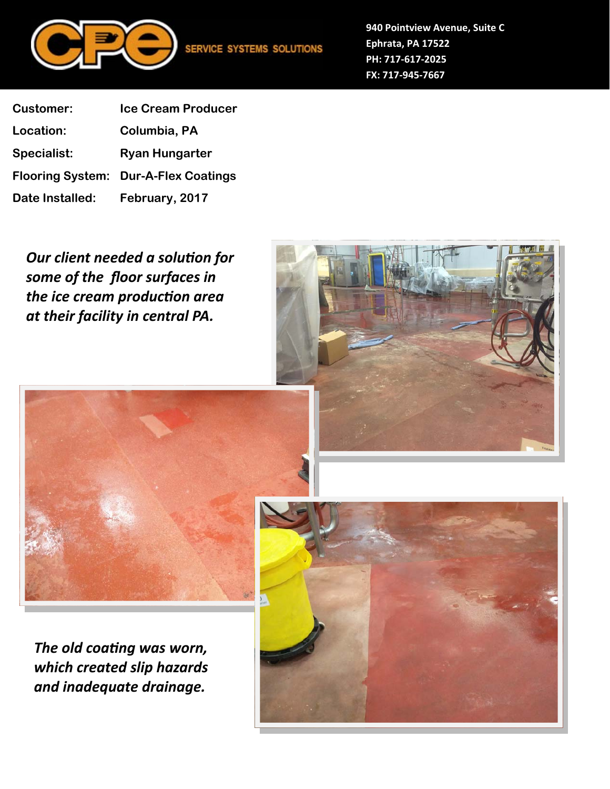

**940 Pointview Avenue, Suite C Ephrata, PA 17522 PH: 717‐617‐2025 FX: 717‐945‐7667**

**Customer: Ice Cream Producer Location: Columbia, PA Specialist: Ryan Hungarter Flooring System: Dur-A-Flex Coatings Date Installed: February, 2017** 

**Our client needed a solution for** *some of the floor surfaces in the ice cream producƟon area at their facility in central PA.* 





*The old coating was worn, which created slip hazards and inadequate drainage.* 

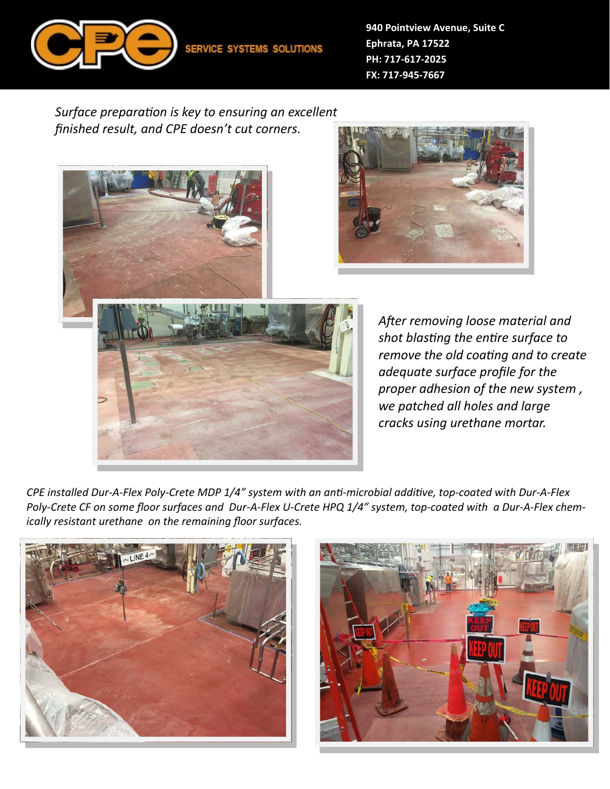

**940 Pointview Avenue, Suite C Ephrata, PA 17522 PH: 717‐617‐2025 FX: 717‐945‐7667**

*Surface preparaƟon is key to ensuring an excellent finished result, and CPE doesn't cut corners.* 





CPE installed Dur-A-Flex Poly-Crete MDP 1/4" system with an anti-microbial additive, top-coated with Dur-A-Flex *Poly‐Crete CF on some floor surfaces and Dur‐A‐Flex U‐Crete HPQ 1/4" system, top‐coated with a Dur‐A‐Flex chem‐ ically resistant urethane on the remaining floor surfaces.*